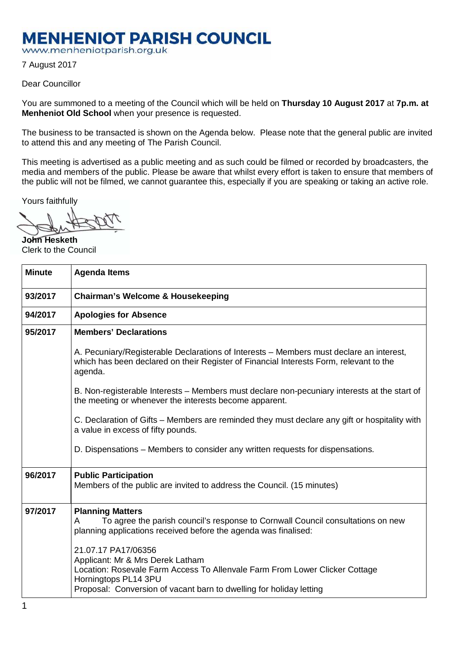## **MENHENIOT PARISH COUNCIL**

www.menheniotparish.org.uk

7 August 2017

## Dear Councillor

You are summoned to a meeting of the Council which will be held on **Thursday 10 August 2017** at **7p.m. at Menheniot Old School** when your presence is requested.

The business to be transacted is shown on the Agenda below. Please note that the general public are invited to attend this and any meeting of The Parish Council.

This meeting is advertised as a public meeting and as such could be filmed or recorded by broadcasters, the media and members of the public. Please be aware that whilst every effort is taken to ensure that members of the public will not be filmed, we cannot guarantee this, especially if you are speaking or taking an active role.

Yours faithfully

**John Hesketh**  Clerk to the Council

| <b>Minute</b> | <b>Agenda Items</b>                                                                                                                                                                                                                   |  |  |  |
|---------------|---------------------------------------------------------------------------------------------------------------------------------------------------------------------------------------------------------------------------------------|--|--|--|
| 93/2017       | <b>Chairman's Welcome &amp; Housekeeping</b>                                                                                                                                                                                          |  |  |  |
| 94/2017       | <b>Apologies for Absence</b>                                                                                                                                                                                                          |  |  |  |
| 95/2017       | <b>Members' Declarations</b>                                                                                                                                                                                                          |  |  |  |
|               | A. Pecuniary/Registerable Declarations of Interests – Members must declare an interest,<br>which has been declared on their Register of Financial Interests Form, relevant to the<br>agenda.                                          |  |  |  |
|               | B. Non-registerable Interests - Members must declare non-pecuniary interests at the start of<br>the meeting or whenever the interests become apparent.                                                                                |  |  |  |
|               | C. Declaration of Gifts – Members are reminded they must declare any gift or hospitality with<br>a value in excess of fifty pounds.                                                                                                   |  |  |  |
|               | D. Dispensations – Members to consider any written requests for dispensations.                                                                                                                                                        |  |  |  |
| 96/2017       | <b>Public Participation</b><br>Members of the public are invited to address the Council. (15 minutes)                                                                                                                                 |  |  |  |
| 97/2017       | <b>Planning Matters</b><br>To agree the parish council's response to Cornwall Council consultations on new<br>A<br>planning applications received before the agenda was finalised:                                                    |  |  |  |
|               | 21.07.17 PA17/06356<br>Applicant: Mr & Mrs Derek Latham<br>Location: Rosevale Farm Access To Allenvale Farm From Lower Clicker Cottage<br>Horningtops PL14 3PU<br>Proposal: Conversion of vacant barn to dwelling for holiday letting |  |  |  |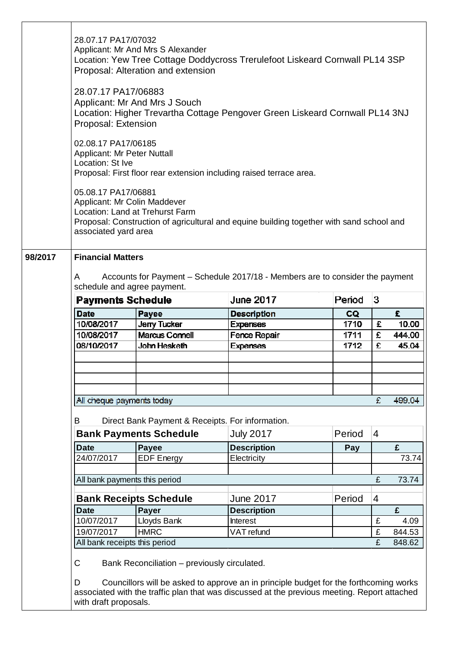|         | 28.07.17 PA17/07032<br>Applicant: Mr And Mrs S Alexander<br>Location: Yew Tree Cottage Doddycross Trerulefoot Liskeard Cornwall PL14 3SP<br>Proposal: Alteration and extension |                                                                                                           |                                                                                          |        |                |        |  |  |
|---------|--------------------------------------------------------------------------------------------------------------------------------------------------------------------------------|-----------------------------------------------------------------------------------------------------------|------------------------------------------------------------------------------------------|--------|----------------|--------|--|--|
|         | 28.07.17 PA17/06883<br>Applicant: Mr And Mrs J Souch<br>Location: Higher Trevartha Cottage Pengover Green Liskeard Cornwall PL14 3NJ<br>Proposal: Extension                    |                                                                                                           |                                                                                          |        |                |        |  |  |
|         | 02.08.17 PA17/06185<br><b>Applicant: Mr Peter Nuttall</b><br>Location: St Ive<br>Proposal: First floor rear extension including raised terrace area.                           |                                                                                                           |                                                                                          |        |                |        |  |  |
|         | 05.08.17 PA17/06881<br>Applicant: Mr Colin Maddever<br>associated yard area                                                                                                    | Location: Land at Trehurst Farm                                                                           | Proposal: Construction of agricultural and equine building together with sand school and |        |                |        |  |  |
| 98/2017 | A<br>schedule and agree payment.                                                                                                                                               | <b>Financial Matters</b><br>Accounts for Payment – Schedule 2017/18 - Members are to consider the payment |                                                                                          |        |                |        |  |  |
|         | <b>Payments Schedule</b>                                                                                                                                                       |                                                                                                           | <b>June 2017</b>                                                                         | Period | 3              |        |  |  |
|         |                                                                                                                                                                                |                                                                                                           |                                                                                          |        |                |        |  |  |
|         |                                                                                                                                                                                |                                                                                                           |                                                                                          |        |                |        |  |  |
|         | <b>Date</b>                                                                                                                                                                    | <b>Payee</b>                                                                                              | <b>Description</b>                                                                       | CQ     |                | £.     |  |  |
|         | 10/08/2017                                                                                                                                                                     | <b>Jerry Tucker</b>                                                                                       | <b>Expenses</b>                                                                          | 1710   | £              | 10.00  |  |  |
|         | 10/08/2017                                                                                                                                                                     | Marcus Connell                                                                                            | Fence Repair                                                                             | 1711   | £              | 444.00 |  |  |
|         | 08/10/2017                                                                                                                                                                     | John Hesketh                                                                                              | Expenses                                                                                 | 1712   | £              | 45.04  |  |  |
|         |                                                                                                                                                                                |                                                                                                           |                                                                                          |        |                |        |  |  |
|         |                                                                                                                                                                                |                                                                                                           |                                                                                          |        |                |        |  |  |
|         |                                                                                                                                                                                |                                                                                                           |                                                                                          |        |                |        |  |  |
|         | All cheque payments today                                                                                                                                                      |                                                                                                           |                                                                                          |        | £              | 499.04 |  |  |
|         |                                                                                                                                                                                |                                                                                                           |                                                                                          |        |                |        |  |  |
|         | B                                                                                                                                                                              | Direct Bank Payment & Receipts. For information.                                                          |                                                                                          |        |                |        |  |  |
|         |                                                                                                                                                                                | <b>Bank Payments Schedule</b>                                                                             | <b>July 2017</b>                                                                         | Period | $\overline{4}$ |        |  |  |
|         | <b>Date</b>                                                                                                                                                                    | <b>Payee</b>                                                                                              | <b>Description</b>                                                                       | Pay    |                | £      |  |  |
|         | 24/07/2017                                                                                                                                                                     | <b>EDF</b> Energy                                                                                         | Electricity                                                                              |        |                | 73.74  |  |  |
|         |                                                                                                                                                                                |                                                                                                           |                                                                                          |        |                |        |  |  |
|         | All bank payments this period                                                                                                                                                  |                                                                                                           |                                                                                          |        | £              | 73.74  |  |  |
|         |                                                                                                                                                                                |                                                                                                           | <b>June 2017</b>                                                                         | Period | 4              |        |  |  |
|         | <b>Date</b>                                                                                                                                                                    | <b>Bank Receipts Schedule</b><br><b>Payer</b>                                                             |                                                                                          |        |                | £      |  |  |
|         | 10/07/2017                                                                                                                                                                     | Lloyds Bank                                                                                               | <b>Description</b><br><b>Interest</b>                                                    |        | £              | 4.09   |  |  |
|         | 19/07/2017                                                                                                                                                                     | <b>HMRC</b>                                                                                               | VAT refund                                                                               |        | £              | 844.53 |  |  |
|         | All bank receipts this period                                                                                                                                                  |                                                                                                           |                                                                                          |        | £              | 848.62 |  |  |

Τ

D Councillors will be asked to approve an in principle budget for the forthcoming works associated with the traffic plan that was discussed at the previous meeting. Report attached with draft proposals.